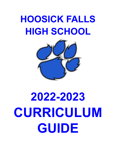## **HOOSICK FALLS HIGH SCHOOL**



# **2022-2023 CURRICULUM GUIDE**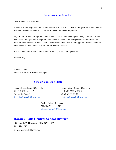### **Letter from the Principal**

Dear Students and Families,

Welcome to the High School Curriculum Guide for the 2022-2023 school year. This document is intended to assist students and families in the course selection process.

High School is an exciting time where students can take interesting electives, in addition to their New York State graduation requirements, to better understand their passions and interests for their future endeavors. Students should use this document as a planning guide for their intended coursework while at Hoosick Falls Central School District.

 $\mathcal{L}_\mathcal{L} = \{ \mathcal{L}_\mathcal{L} = \{ \mathcal{L}_\mathcal{L} = \{ \mathcal{L}_\mathcal{L} = \{ \mathcal{L}_\mathcal{L} = \{ \mathcal{L}_\mathcal{L} = \{ \mathcal{L}_\mathcal{L} = \{ \mathcal{L}_\mathcal{L} = \{ \mathcal{L}_\mathcal{L} = \{ \mathcal{L}_\mathcal{L} = \{ \mathcal{L}_\mathcal{L} = \{ \mathcal{L}_\mathcal{L} = \{ \mathcal{L}_\mathcal{L} = \{ \mathcal{L}_\mathcal{L} = \{ \mathcal{L}_\mathcal{$ 

Please contact our School Counseling Office if you have any questions.

Respectfully,

Michael J. Hall Hoosick Falls High School Principal

#### **School Counseling Staff:**

Jenna Libecci, School Counselor Leann Victor, School Counselor 518-686-7321 x. 1512 518-686-7321 x. 1508 Grades 9-12 (A-J) Grades 9-12 (K-Z) [libeccij@hoosickfallscsd.org](mailto:libeccij@hoosickfallscsd.org) [victorl@hoosickfallscsd.org](mailto:victorl@hoosickfallscsd.org)

Colleen Viera, Secretary 518-686-7321 x. 1510 [vierac@hoosickfallscsd.org](mailto:vierac@hoosickfallscsd.org)

## **Hoosick Falls Central School District**

PO Box 129, Hoosick Falls, NY 12090 518-686-7321 http://hoosickfallscsd.org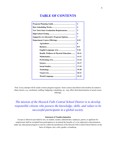## **TABLE OF CONTENTS**

| New York State Graduation Requirements              |           |
|-----------------------------------------------------|-----------|
|                                                     |           |
| <b>Supportive &amp; Alternative Program Options</b> |           |
|                                                     |           |
|                                                     | 8         |
|                                                     | $8-9$     |
|                                                     | $9 - 10$  |
| Health, Wellness & Physical Education               | $10 - 11$ |
|                                                     | $11 - 13$ |
|                                                     | $13 - 14$ |
|                                                     | $15 - 17$ |
|                                                     | $17-19$   |
|                                                     | $19 - 20$ |
|                                                     | $20 - 21$ |
|                                                     | $21 - 22$ |
|                                                     |           |

Note: Every attempt will be made to honor program requests. Some courses described in this booklet are tentative. Many factors, e.g., enrollment, staffing, budgeting, scheduling, etc., may affect final determination of actual course offerings.

*The mission of the Hoosick Falls Central School District is to develop responsible citizens who possess the knowledge, skills, and values to be successful participants in a global society.*

#### **Statement of Nondiscrimination**

Except as otherwise provided by law, no student, teacher, administrator, employee, parent, or applicant for employment shall be excluded from participation in, be denied the benefits of, or be subjected to discrimination under any educational program or activity within the jurisdiction of the Hoosick Falls Central School District on the basis of religion, race, color, gender, or handicap.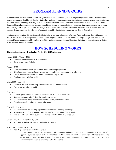## **PROGRAM PLANNING GUIDE**

The information presented in this guide is designed to assist you in planning programs for your high school career. We believe that parents and students should work closely with teachers and school counselors in considering the various courses and programs that are available. The scheduling process begins with grade-level classroom visits. Counselors assist students in classrooms with Course Selection Sheets. Parents are invited and encouraged to participate in the scheduling process at any time. Appointments can be made by contacting the College and Career Counseling Center directly. There will also be summer hours available to discuss schedule changes. The responsibility for selection of courses is shared by the students, parents and our School Counselors.

It is important to mention this Curriculum Guide includes a vast array of possible offerings. Please understand that just because you have expressed an interest in a particular course, it does not guarantee that it will be offered in the upcoming school year. Actual course offerings are determined by staffing availability and/or student enrollment. Therefore, the listing of alternative course choices in the selection process is essential.

## **HOW SCHEDULING WORKS**

#### **The following timeline will be in place for the 2022-2023 school year:**

January 2022 - February 2022

- Course selections completed in core classes
- Begin master schedule build

#### February 2022

- Teacher recommendations provided to school counseling department
- School counselors cross reference teacher recommendations vs. student course selections
- Student course selections mailed home with quarter 2 report card
- Continue master schedule build

#### March 2022 - May 2022

- Tentative schedules reviewed by school counselors and administration
- Finalize master schedule build

#### June 2022

- Teachers given courses and tentative schedules for 2022- 2023 school year
- Summer assignments handed out for accelerated courses
- School counselors notify students/families that qualify for summer school
- Tentative schedules mailed out with final report card

#### July 2022 - August 2022

- School counselors available by appointment to make schedule request changes
- School counselors finalize summer school grades/scores and adjust final schedules
- Final schedules available in eSchool and mailed home for 2022-2023 school year

#### September 6, 2022 - September 16, 2022

• Add/Drop period for fall semester and full year courses

#### September 17, 2022 - and beyond

Add/Drop requires administrative approval

Requests for dropping a course or changing a level after the following deadlines require administrative approval. If approval is granted, a grade of "Withdrawal Pass" or "Withdrawal Fail" will appear on the final transcript depending on the student's grade status on the date of the drop or level change. Signatures from a parent, teacher, counselor and administrator are required for changes after the deadline.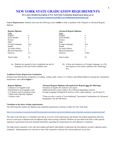## **NEW YORK STATE GRADUATION REQUIREMENTS**

**For a more detailed description of New York State Graduation Requirement please go to: <http://www.nysed.gov/common/nysed/files/currentdiplomarequirements.pdf>**

*Course Requirements:* Students must earn the following course **credits** in order to graduate with a Regents or Advanced Regents diploma.

| <b>Regents Diploma</b><br>Units |      | <b>Advanced Regents Diploma</b><br>Units |        |
|---------------------------------|------|------------------------------------------|--------|
| English                         | 4    | English                                  | 4      |
| <b>Social Studies</b>           | 4    | <b>Social Studies</b>                    |        |
| Science                         |      | Science                                  |        |
| Math                            | 3    | Math                                     | 3      |
| Foreign Language                | 1(a) | Foreign Language                         | 1(a)   |
| Health                          | .5   | Health                                   |        |
| Art and/or Music                |      | Art and/or Music                         |        |
| <b>Physical Education</b>       | 2    | Physical Education                       | 2      |
| Electives                       | 3.5  | Electives                                | 3.5(b) |
| <b>Total Credits</b>            | 22   | <b>Total Credits</b>                     | 22     |

- (a) Students are required to have completed one unit of language by the end of their freshman year.
- (b) A three unit sequence in a Foreign Language, or a five unit sequence in an elective pathway (art, technology, etc).

#### *Traditional Exams Required for Graduation:*

Students must demonstrate competency in reading, writing, math, science, U.S. History and Global Studies by passing the examination listed below with a **65 or higher\*:**

| <b>Regents Diploma</b>            | Advanced Regents Diploma (all required for Regents plus the following):                      |
|-----------------------------------|----------------------------------------------------------------------------------------------|
| Common Core English exam          | Geometry & Algebra II Common Core exams                                                      |
| Global History $&$ Geography exam | Additional Science exam (either Life or Physical depending on prior)                         |
| U.S. History and Government exam  | Foreign Language Checkpoint B exam (or a five credit sequence - see (b) above <sup>*</sup> ) |
| 1 Math exam (typically Algebra)   |                                                                                              |
| 1 Science exam                    | *There are also a variety of "non-traditional" Assessment Combinations for Advanced          |
|                                   | Designation. See the link below.                                                             |

#### **Variations to the above testing requirements:**

The following link outlines the diploma and credential requirements currently in effect for New York State:

#### <http://www.nysed.gov/common/nysed/files/programs/curriculum-instruction/diploma-and-credentials-summary-requirements.pdf>

The chart in the link above is intended to provide an overview of the requirements and identify the student populations that have access to each type of diploma and non-diploma high school exiting credential. Websites are provided in the link to offer specific regulatory requirements and more detailed information regarding the requirements for each diploma or credential.

Our high school counselors work with each student and family individually to determine the best pathway towards a diploma and/or credential. Students/parents are welcome to meet with counselors to discuss the various pathways at any time.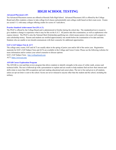## **HIGH SCHOOL TESTING**

#### **Advanced Placement (AP)**

Ten Advanced Placement courses are offered at Hoosick Falls High School. Advanced Placement (AP) is offered by the College Board and offers students a chance to take college level classes and potentially earn college credit based on their exam score. Exams are scored 1-5, with many colleges offering credits for scores of 3 and above.

#### **Practice Stanford Achievement Test (P.S.A.T.)**

The PSAT is offered by the College Board and is administered in October during the school day. The standardized test is meant to give students a change to experience what it may be like on the S.A.T. All juniors take this examination, as well as sophomores who express interest. The PSAT is also the National Merit Scholarship qualifying test, which means juniors who score well compete to earn scholarship money. Parents and students are notified approximately one month before the examination of its date and time. Students who are unable to test should communicate with their counselor for additional opportunities.

#### **SAT I, SAT Subject Test & ACT**

The college entry exams, SAT and ACT are usually taken in the spring of junior year and/or fall of the senior year. Registration materials for SAT I, SAT Subject Tests and ACTs are available in the College and Career Center. Please see the following websites for more information and/or contact your school counselor to discuss options:

SAT I, SAT Subject Tests: <http://collegeboard.com> ACT: <https://www.act.org/>

#### **ASVAB Career Exploration Program**

The ASVAB is a test and then review program that allows students to identify strengths in the areas of verbal, math, science and technical skills. The test is followed up with a presentation to explain and use results to help students find out how their interest and skills relate to more than 400 occupations and start making educational and career plans. The test is free and given to all students, unless an opt out letter is sent to the school. Scores are never released to anyone other than the student and the school, including the military.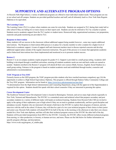## **SUPPORTIVE AND ALTERNATIVE PROGRAM OPTIONS**

At Hoosick Falls High School, a variety of additional programs are offered to meet individual student needs. These programs are run at our school and off-campus. Students are provided qualified teachers and staff, and all ultimately lead to a New York State Regents Diploma or its equivalent.

#### **The Learning Center**

The Learning Center (TLC) is a place where students can come for extra help. Students are assigned to TLC during their study hall or after school if they are failing two or more classes on their report card. Students can also be referred to TLC by a teacher or parent. Students receive academic support from the TLC teacher or student tutors. Homework help, organizational assistance, test preparation, materials and grade monitoring are provided in TLC.

#### **Response to Intervention**

Many students will see success in the classroom without additional support being needed; however , some may require additional interventions. The Response to Intervention (RtI) process is in place for a faculty member to refer a student for a higher level of behavioral or academic support. A team of support staff and classroom teachers meet to discuss reported concerns and develop additional support plans outside of the regular classroom instruction. The goal of this process is to ensure that appropriate academic and/or behavioral interventions have been implemented and monitored so as to promote student success.

#### **Restore U**

Restore U is an on-campus academic respite program for grades 9-12. Support is provided in a small group setting. Academic skill building is developed through a modified curriculum, ensuring all students academic needs are met and back credits are earned as needed. Students enrolled in the Restore U program will attend all their core courses (Math, Science, English, Social Studies) in a small group setting. Entrance to the program is based on student academic need and established through teacher, counselor and administrative recommendations.

#### **TASC Program at Troy EOC**

Formerly known as the GED program, the TASC program provides students who have reached maximum compulsory age (16) the opportunity to achieve a High School Equivalency Diploma. This program is offered through Hudson Valley Community College and the Troy EOC program. Information can be found at: <https://www.hvcc.edu/programs/eoc/tasc.html>. \*A determination from the High School Administration and Counseling Department, along with the approval of the Superintendent is required for this option. Students should first speak with their school counselor if they are interested in pursuing this option.

#### **Career Development Center**

The Southwest Vermont Career Development Center is located in Bennington, Vermont, and serves many high schools regionally in New York, Vermont and Massachusetts. The SVCDC is a committed career and technical school that prepares secondary and post secondary students in a variety of different trades with hands-on technical learning. Students from Hoosick Falls CSD are invited to apply in the spring of their sophomore year of high school if they are on track to graduate academically, and have good discipline and attendance records. Students who are interested will attend a field trip to the SVCDC to explore their programs of interest, and also interview with the staff at the school. If chosen, they will then be a part of a two year technical program of their choice in their junior and senior year. Hoosick Falls students will attend HFCS for half of the day in the morning or the afternoon to take their core classes needed for a New York state diploma, and then will take their technical program courses at the SVCDC the other half of the day. Students will be provided transportation from HFCS to the SVCDC. Currently, the SVCDC offers twenty different technical programs from nursing, to video production, to forestry, to human services, and more. Please see the link below for further information on specific program offerings, and descriptions.

https://www.svcdc.org/program\_of\_studies.php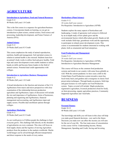## **AGRICULTURE**

#### **Introduction to Agriculture, Food and Natural Resources**

Grade 9-12 40 Weeks (full year) 1.0 Credit

This is the first course in a sequence for agriculture/business courses. It incorporates hands-on learning, as you get an introduction to plant science, animal science, food science and processing, leadership development, and Future Farmers of America (FFA).

#### **Animal Science**

Grade 9-12 20 Weeks (half year) 0.5 Credit

This course emphasizes the study of animal reproduction, nutrition, health and management. Soil and plant science in relation to animal health is also stressed. Students learn how an animal's body works to utilize feed and grow healthy. Field trips and career development events enable students to utilize hands-on skills and become future leaders in the field of animal science. Potential dual credit opportunities with colleges.

#### **Introduction to Agriculture Business Management**

Grade 9-12 40 Weeks (full year) 1.0 Credit

A broad introduction to the function and structure of the U.S. Agribusiness from macro and micro perspectives with close examination of the relationship between production agriculture and Agribusiness; topics of discussion will include the size and importance of Agribusiness, forms of businesses, planning and organizing and Agribusiness, financial management and accounting, and Agribusiness input and supply sectors. Possible dual enrollment options through colleges.

#### **Agriculture Marketing**

Grade 9-12 20 Weeks (half year) 0.5 Credit

As our world grows to 8 billion people the challenge to feed everyone grows. This challenge falls directly on the shoulders of agriculturists on every continent. This class will focus on food supply chains and the logistics of moving Agriculture products from the producer to the markets worldwide. Maybe world hunger can be solved through efficient transportation and direct response to the needs of every nation.

#### **Horticulture (Plant Science)**

Grades 9-12 20 weeks (half year course) Pre-Requisites: Introduction to Agriculture (AFNR)

Students explore the many aspects of horticulture and landscaping. A study of agronomy (soil science) is followed by an in-depth study of how plants grow and the environmental factors which affect plant growth. Hands-on lab work includes field trips, greenhouse work and the opportunity to participate in related career development events. This course is recommended for students interested in working with plants, both as ornamental and food enterprises.

#### **Food Production and Management**

Grades 9-12 20 weeks (half year course) Pre-Requisites: Introduction to Agriculture (AFNR), Introduction to Agriculture Business Management

This course will focus on the common food production systems and trends in our country with some focus globally as well. With the current pandemic we have seen a shift in the United States Food Production system towards a more buy local trend, back yard gardens and a resurgence in classic food preservation techniques. Through hands-on projects, field trips and guest lectures we will explore our Food Production system. Topics covered will include: Maple production, regenerative agriculture, livestock production (food for food), on farm processing, organic agriculture practices, Community Supported Agriculture and food hubs.

## **BUSINESS**

**Personal Finance** Grade 10-12 40 Weeks (full year) 1.0 Credit

The knowledge and skills you will learn in this class will help you make good financial decisions - now and in the future. Decisions you make now can affect the income you will earn for the rest of your life. The four main areas of concentration in this course will be: Understanding Income, Money Management, Spending and Credit, Saving and Investing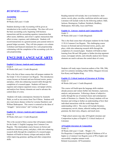#### *BUSINESS continued*

#### **Accounting**

Grade 11-12 40 Weeks (full year) 1 Credit

Students desiring to take Accounting will be given an introduction to the world of accounting. The class will cover the basic accounting cycle, beginning with business transactions and the accounting equation, transactions that affect assets, liabilities, and owner's capital, transactions that affect revenue, expenses, and withdrawals. Students will record transactions in a general journal, post journal entries to general ledger accounts. They will also prepare a six-column worksheet and financial statements for a sole proprietorship culminating with the completion of the accounting cycle for a sole proprietorship.

## **ENGLISH LANGUAGE ARTS**

**English 9: Literary Analysis and Composition I** Grade 9 40 Weeks (full year) 1 Credit (Required)

This is the first of three courses that will prepare students for the Grade 11 ELA Common Core Regents. This introductory course focuses on fictional and non-fictional stories, poetry, and plays, while also enhancing research skills through the completion of a research paper. Students will learn to organize and compose argument essays, newspaper articles, and analyze how literary elements are used to advance the central ideas of a story.

Students will study contemporary literature by Jeannette Walls, as well as war stories from Tim O'Brien. Students will also read classic dramas written by Lorraine Hansberry and William Shakespeare. This course is centered on the ideas of "struggle", "perseverance" and "coming of age".

#### **English 10: Literary Analysis and Composition II** Grade 10

40 Weeks (full year) 1 Credit (Required)

This is the second of three courses that will prepare students for the Grade 11 English Language Arts Common Core Regents. This intermediate course focuses on fiction and nonfiction selections, poetry, and plays, while also enhancing research skills through the completion of a research paper. Students will build on literary critique and analysis skills while improving grammar, spelling and other composition skills.

Reading material will include, but is not limited to: short stories, novels, plays, novellas, nonfiction articles and essays. Literature will include works by the following authors: Dahl, Jackson, Hemingway, Faulkner, Steinbeck, Bradbury, Shakespeare, McCarthy, Joyce and Porter.

#### **English 11: Literary Analysis and Composition III**

Grade 11 40 Weeks (full year) 1 Credit (Required)

This is the final course that will prepare students for the Grade 11 ELA Common Core Regents. This challenging course focuses on fictional and non-fictional stories, poetry, and plays, while also enhancing research skills through the completion of a research paper. Students will build on their learning from 9th and 10th grades to further develop argument essays, newspaper articles, and critically analyze how literary elements are used to advance the central ideas of a story.

Students will study major American authors of the 19th, 20th, and 21st centuries including Arthur Miller, Margaret Atwood, Ken Kasey and Stephen King.

## **English 12: Critical Analysis of Literature & Writing** Grade 12

40 Weeks (full year) 1 Credit (Required)

This course will build upon the language skills students already possess and venture further into literature, expression, analysis, and persuasion. Following a theme of subjective reality through the use of seminal classic and contemporary works of literature (i.e. Hamlet, Poe, Kesey) students will use literature and writing to further an understanding of how their individual interactions with the world shape their understanding with it. The course will include literature, contemporary novels, drama, editorial reading and writing, grammar, the short story, allegory, and much more.

\* High school seniors may take AP English Literature and Composition in place of English 12: Critical Analysis of Literature

#### **AP English Literature & Composition**

Grade 12 40 Weeks (full year) 1 Credit - Weight 1.1% Pre-Requisites: Comprehensive English II Midterm of 85 or higher or a Common Core Regents score of 90 or higher and successfully complete summer work. Related Assessments: AP Examination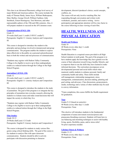This class is an Advanced Placement, college level survey of major British and American authors. The course includes the study of Thomas Hardy, James Joyce, William Shakespeare, Mary Shelley, George Orwell, William Faulkner, John Steinbeck, Ernest Hemingway, Toni Morrison, and other representable authors of the 19th and 20th centuries. Also, it will prepare students to succeed on the AP Literature exam.

#### **Communication (ENGL 120)**

#### Grade 12

20 weeks (half year) ½ credit (3 HVCC credits\*) Prerequisite: English 11: Literary Analysis and Composition III

This course is designed to introduce the student to the principles and psychology involved in interpersonal and group communication. The program enables the student to express ideas effectively to the public on a personal and professional basis in both the written and oral processes of communication.

\*Students may register with Hudson Valley Community College to be eligible to receive up to three undergraduate credits at a reduced tuition through the College in the High School Program.

#### **Journalism I (ENGL 130)**

Grade 12

20 weeks (half year) ½ credit (3 HVCC credits\*) Prerequisite: English 11: Literary Analysis and Composition III

This course is designed to introduce the students to the study of journalism. The goal of this program is to integrate the key principles of journalism into everyday research, allowing the students to evaluate issues and make sound decisions that will impact the society in which they live.

\*Students may register with Hudson Valley Community College to be eligible to receive up to three undergraduate credits at a reduced tuition through the College in the High School Program.

#### **Film Studies**

Grade 10-12 20 Weeks (half year) 1/2 Credit Prerequisite: English 9: Literary Analysis and Composition I

The course is designed for students to study various film genres using critical thinking skills. The goal of the course is for students to analyze film with open classroom communication. Students should be able to actively participate with discussion pertaining to character

development, director's/producer's choice, social concepts, conflicts, etc.

The course will not only involve watching film, but responding through conversation and written work: worksheets, journals, and creative writing. Active participation and appropriate attention will be a key factor in the course following in-class viewing of each film.

## **HEALTH, WELLNESS AND PHYSICAL EDUCATION**

#### **Health and Wellness**

Grade 10 40 Weeks (every other day)  $\frac{1}{2}$  credit Prerequisites: None

Health Education is a required course provided to all High School students in tenth grade. The goal of the program is to have students apply the knowledge they have gained over the course of their education toward living a healthy lifestyle, and to empower them to use the skills they have learned to make informed decisions. The curriculum encompasses seven developmental personal and social skills which when mastered, enable students to enhance personal, family and community health and safety. These skills include self-management, relationship management, stress management, communication, decision making, planning and goal setting, and advocacy. Class discussions, group projects, media, technology and a variety of other methods may be used to convey information.

\*Upon completion, this course fulfills the Health requirement for graduation.

#### **Yoga**

Grades 9-12 (based on seniority) 40 Weeks (every other day)  $\frac{1}{2}$  credit Prerequisites: None

This elective will introduce students to the fundamental components of asana (movement exercises/poses) and pranayama (breathing exercises). Students will learn how to use balancing and stretching techniques to assist with healthy living, sports, flexibility, pains, and/or stress relief. No prior experience needed.

#### **Lifetime Fitness & Wellness**

Grades 11-12 40 Weeks (every other day)  $\frac{1}{2}$  credit Prerequisites: None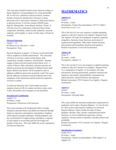This curriculum should be based on the American College of Sports Medicine's recommendations for a long and healthy life. It will cover: definition of physical fitness, wellness, benefits of being fit, identification of barriers to being physically active, intervention strategies to help lessen barriers to physical activity. It will also measure SMART goals: Specific, Measureable, Action-Based, Realistic, Timely. It will also cover five components of physical fitness (body composition, flexibility, cardiovascular endurance, muscular endurance and strength). A variety of other topics will also be included.

#### **Physical Education**

Grades 7 - 12 40 Weeks (every other day)  $\frac{1}{2}$  credit Prerequisites: None

Physical Education in grades 7-12 focuses on personal health with an emphasis on health-related fitness. The curriculum will focus on exercise, cardiovascular fitness, body composition, strength, endurance, and flexibility. Students engage in fitness activities based on their fitness level. A variety of fitness, skills, individual, and team activities are utilized to promote the development of lifetime fitness skills. Sports offered in the district will be included as units in addition to different sports from around the world. The course directly addresses emotional-social development due to the uniqueness of the interactions and the teamwork required to succeed as a group.

For Physical Education class: Each student must have sneakers (cleats are OK for outdoor activities), shorts, and a T-shirt. Sweatshirts and sweatpants are also permitted.

#### **Strength and Conditioning**

Grades 9-12 40 Weeks 1 credit Prerequisites: Permission of the Instructor

This course introduces the fundamental skills of weight training for personal fitness and athletic development through hands-on experience, participation, and guidance. Emphasis will be placed on proper techniques, training programs, and the overall benefit of weight training. Attendance is required of each student to successfully gain the knowledge and benefits of this class. This class fulfills the yearly requirement for Physical Education.

## **MATHEMATICS**

#### **Algebra 1A**

Grade 9 40 weeks, 1 credit Prerequisites: Teacher Recommendation, NYS CC Math 8 Exam Score Level 1 or 2

This is the first of a two-year sequence in algebra preparing students to take the Common Core Algebra 1 Regents Exam. The students will study the foundations of algebra; equations, inequalities, functions, linear functions, and systems of equations and inequalities. Other topics include factoring polynomials and the quadratic functions and equations. Related Assessments: Local Final Examination

#### **Algebra 1B**

Grade 10 40 weeks, 1 credit Prerequisites: Algebra 1A

This is the second of a two-year sequence in algebra preparing students to take the Common Core Algebra 1 Regents Exam. As a continuation of Algebra 1A, the students will study polynomials, factoring polynomials, quadratic functions and equations, data analysis and probability, exponential and radical functions, rational functions and equations. Related Assessment: NYS Common Core Algebra 1 Regents Examination

#### **Algebra I**

Grade 9 40 weeks, 1 credit Prerequisites: 8th grade Math

This course fulfills the minimum mathematics requirement for graduation and to attain a Regents Diploma. It is also the first in a three-course math sequence leading to an Advanced Regents Diploma. Topics include the study of linear, quadratic, absolute value, rational, exponential and radical functions, as well as simplifying expressions, solving equations, solving systems of equations, and data analysis and probability.

Related Assessments: NYS Common Core Algebra 1 Regents Examination

#### **Introduction to Geometry**

Grades 10-11 40 weeks, 1 credit Prerequisites: Teacher recommendation, AND Algebra 1 or Algebra 1B.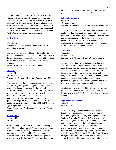This is a teacher recommended prep course to either prepare students for Regents Geometry or count as one of their three required mathematics credits for graduation. It combines algebra and basic geometry skills needed to be successful in Common Core Geometry. Topics will include, but not limited to, exponents and square roots, linear equations, properties of polygons, angle relationships, measurement and modeling of 2D and 3D figures, transformations, constructions, and more. Related Assessment: Local Final Examination

#### **Math in Society**

Grade 11 40 weeks, 1 credit Prerequisites: Teacher recommendation, Algebra 1B or Introduction to Geometry.

This is a non-regents real world course that fulfills a third year graduation requirement. It will focus on math concepts used in the real world. Topics will include, but not limited to, banking, percent, measurements, volume, area, surface area, and perimeter.

Related Assessment: Local Final Examination

#### **Geometry**

Grades 9-11 40 weeks, 1 credit Prerequisites: CC Algebra 1 Regents; Course Average 75+

This is the second in the three-course sequence leading to an Advanced Regents Diploma. The geometry curriculum is based on the frameworks designed by the New York Department of Education. In this class, students will focus on learning the Common Core Geometry standards. Topics include congruence and similarity of triangles, transformations, coordinate geometry, constructions, quadrilateral properties and proofs, circle properties and proofs, and measurement and modeling of 2D and 3D figures, right triangle trigonometry, and more. Related Assessment: NYS Common Core Geometry Regents

#### **Business Math**

Examination

Grades 11-12 40 weeks, 1 credit

Business math is not just about the numbers or the ability to tally difficult equations correctly. This class prepares students to think logically and critically about finances, both for the home and in their professional life. Taking the time to complete a math class can benefit a student far beyond the lessons learned in the classroom. Topics for this class include

gross and net pay, money management, borrowing, earning power, investing, financial services, and insurance.

#### **Intermediate Algebra**

Grades 11-12 40 weeks, 1 credit Prerequisites: Common Core Geometry or Topics of Geometry

This class fulfills the third year mathematics requirement for graduation while intending to prepare students for college math courses. The students will study rational expressions, the real numbers, geometry of the circle, and the complex numbers. Additional topics include trigonometric functions, trigonometric graphs, exponential and logarithmic functions. Related Assessment: Local Final examination

#### **Algebra II**

Grades 10-12 40 weeks, 1 credit Prerequisites: CC Geometry Regents; Course average 75+

The last year in a three-year math sequence leading to an Advanced Regents Diploma. This course includes field properties and theorems; set theory; operations with rational and irrational expressions; factoring of rational expressions; in-depth study of linear and quadratic equations and inequalities; solving systems of linear and quadratic equations; graphing of constant, linear, and quadratic equations; properties of higher degree equations; operations with rational and irrational exponents; exponential and logarithmic

functions; conic sections; probability and statistics; sequences and series; trigonometric functions, graphs and identities. Related Assessments: NYS Common Core Algebra 2 Regents Examination

#### **High School Pre-Calculus**

Grade 12 40 weeks, 1 credit

This course is aligned to the Common Core Learning Standards and continues to build higher level math skills connecting Algebra and Geometry with Trigonometry and Topics in Precalculus. This class will further develop the algebraic and geometric techniques that will be required of those students that continue their study of mathematics. Inverse functions are explored as students study the relationship between exponential and logarithmic functions and restrict the domain of the trigonometric functions to allow for their inverses. The Mathematical Practice Standards apply throughout each course and, together with the content standards, prescribe that students experience mathematics as a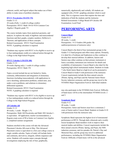coherent, useful, and logical subject that makes use of their ability to make sense of problem situations.

#### **HVCC Precalculus (MATH 170)**

Grades 11-12 20 weeks (Fall), ½ credit (4 college credits) Prerequisites: HVCC Math 150 Or NYS Common Core Algebra 2 Regents grade 75+

The course includes topics from analytical geometry, and analysis. It explores the study of algebraic and transcendental functions and their graphs, complex numbers, DeMoivre's Theorem, and applications of these concepts. Related Assessments: HVCC Final Examination NOTE: A graphing calculator is required.

\*Students may register with HVCC to be eligible to receive up to four undergraduate credits at a reduced tuition through the College in the High School Program.

#### **HVCC Calculus I (MATH 180)**

Grades 11-12 20 weeks (Spring only), 1 credit (4 college credits) Prerequisites: HVCC Math 170

Topics covered include but are not limited to: limits, continuity, differentiation and integration of elementary functions (including transcendental), with applications to curve sketching, optimization problems, related rates, area under a curve problems, and solutions to elementary differential equations.

Related Assessments: HVCC Final Examination NOTE: A graphing calculator is required

\*Students may register with HVCC to be eligible to receive up to four undergraduate credits at a reduced tuition through the College in the High School Program.

#### **AP Calculus AB**

#### Grades 11-12

40 weeks, 1 credit - Weight 1.1%

Prerequisites: Math 160 Precalculus and Math 180 Calculus I or equivalent. AP application, teacher recommendation, a Regents exam score of 90 or better on Common Core Algebra 2, completed summer assignments

Students enrolled in this course will take the Advanced Placement Calculus AB exam in May. This Advanced Placement course is equivalent to a first year college course in single variable calculus. Topics of study will include limits and continuity, derivatives, integrals, infinite sequences and series. Students will examine major concepts through investigations employing the rule of four; graphically,

numerically, algebraically and verbally. All students are equipped with a TI-84+ graphing calculator which is used daily. This is a rigorous course that requires the time and dedication of both the students and the instructor. Related Assessments: College Board AP Calculus AB Examination, Local Final

## **PERFORMING ARTS**

#### **Concert Band**

Grades 8-12 40 weeks, ½ credit Prerequisites: 9-12 Graders (8th grader: By audition/permission of instructor only)

Concert Band is the third of four instrumental groups in the Grades 5-12 band program and offers many options. Primarily, it is ideal for a Freshman and Sophomore as they continue to develop their musical abilities. In addition, Juniors and Seniors may either continue on their primary instrument or learn a secondary instrument (see instructor for details and availability of instruments). Concert Band is also ideal for the beginning high school instrumental student. Students in Grade 7 who finish Junior Band at a high level can be promoted to Concert Band in Grade 8 with permission of the instructor. Concert requirements include the three annual concerts (Winter, Spring, and Pops) and the National Junior Honor Society induction ceremony, and the group may travel to the NYSSMA Major Organization Festival. Individual students

may also participate in the NYSSMA Solo Festival. Difficulty of band music will be at the intermediate NYSSMA levels: 2 and 3.

#### **Symphonic Band**

Grades 9-12 40 weeks, 1 credit Prerequisites: Junior and Seniors must have a minimum 2 years of Junior and/or Concert Band. Students in Grades 8-10 with permission from the instructor only.

Symphonic Band represents the highest level of instrumental performance at HFCS. Through daily rehearsals and a weekly lesson Symphonic Band members work to improve their musical studies and abilities. Concert requirements include the three annual concerts (Winter, Spring, and Pops), the NHS induction ceremony, and two parades (St. Patrick's Day and Memorial Day), and the group may travel to additional performances, including the NYSSMA Major Organization Festival. Difficulty of band music will be at the advanced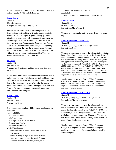NYSSMA Levels: 4, 5, and 6. Individually, students may also participate in the NYSSMA Solo Festival.

#### **Senior Chorus**

Grades 9-12 40 weeks, 1 credit Prerequisites: An ability to sing on pitch

Senior Chorus is open to all students from grades 9th -12th. There will be a basic audition to listen for singing on pitch. Students learn the principles of good breathing, posture and articulation in singing, through exercises and vocal warm-ups. Our music genres include American folk songs, classical European repertoire, Popular music, Rock, and Non-Western songs. Participation in school concerts is part of the grading process throughout the year. Based on their vocal ability, an audition and needs of the chorus as a whole, selected students will participate in outside events, such as New York State School Musical Association (NYSSMA).

#### **Jazz Band**

Grades 9-12 40 weeks, ½ credit Prerequisites: Selection via audition and/or interview with instructor

In Jazz Band, students will perform music from various styles including swing, blues, Latin jazz, rock, funk, and brass band. Jazz band will be offered as an after-school course; days and times to be determined on a yearly basis. Performances include local concerts and festivals throughout the school year. Basic proficiency on instrument is required. Attendance in after school rehearsals required.

#### **Music Theory I**

Grades 9-12 40 weeks, 1 credit Prerequisites: None

This course covers notational skills, musical terminology and aural skills:

Notational Skills

- Rhythms and meters
- Clefs and pitches
- Key signatures, scales and modes
- Intervals and chords
- Melodic transposition

Musical Terminology

- Terms for intervals, triads, seventh chords, scales and modes
- Terms pertaining to rhythm and meter, melodic construction and variation, harmonic function, cadences and phrase structure, texture, small

forms, and musical performance Aural Skills - Rhythmic dictation (simple and compound meters)

#### **Music Theory II**

Grades 10-12 40 weeks, 1 credit Prerequisites: Music Theory I

This course covers similar topics to Music Theory I in more depth.

#### **Music Appreciation I (MUSC 100)**

Grades 11-12 20 weeks (Fall only), ½ credit (3 college credits) Prerequisites: None

This course is designed to provide the college student with the knowledge and experience necessary in developing the art of listening intelligently and perceptively to various types and styles of music heard today, and to increase one's enjoyment and appreciation of music in general. Emphasis will be placed on the music of the middle Ages (450-1450); the Renaissance (1450-1600); and the Baroque Period (1600-1750). This course will begin with several lectures on the elements of music and musical instruments and end with a study of the American Musical and non- western music. Students will be required to write reviews of four performances.

\*Students may register with Hudson Valley Community College to be eligible to receive up to three undergraduate credits. Their tuition is reduced through the College in the High School Program. Students on free and reduced lunch may apply for scholarships.

#### **Music Appreciation II (MUSC 101)**

Grades 11-12 20 weeks (Spring only), ½ credit (3 college credits) Prerequisites: Music Appreciation I

This course is designed to provide the college student a continuation of Music Appreciation I with focus of study on the music of the Viennese Classical Period (1750-1825); the Romantic Age (1825-1900); and twentieth century music (including jazz, rock, popular, and folk music). The course will begin with several lectures reviewing the characteristics of sound and the elements of music.

\*Students may register with Hudson Valley Community College to be eligible to receive up to three undergraduate credits at a reduced tuition through the College in the High School Program.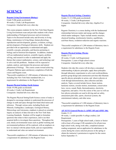## **SCIENCE**

#### **Regents Living Environment (Biology)**

Grade 9 (8th grade accelerated) 40 weeks,1 Credit, Lab Requirement Corequisite: Attached lab every other day

This course prepares students for the New York State Regents Living Environment exam and provides students with a basic understanding of biological processes and environments. Topics to be discussed include unity and diversity in living things, maintenance in living things, human physiology, reproduction and development, genetics, evolution, ecology, and development of biological laboratory skills. Students are provided with an opportunity to understand and apply scientific concepts, principles, and theories pertaining to biology and its historical development. In addition, students will use mathematical analysis, scientific inquiry, problem solving, and research in order to understand and apply the themes that connect mathematics, science, and technology and to solve real-life problems. Students will be expected to explain, analyze, and interpret the processes and natural phenomena of biology. This course counts toward achieving a Regents Diploma upon satisfactory completion of both the course and Regents exam.

\*Successful completion of 1,200 minutes of laboratory time, including four New York State mandated labs, is a requirement for admittance to the Regents Exam

#### **Regents Physical Setting: Earth Science**

Grade 10 (9th grade accelerated) 40 weeks,1 Credit, Lab Requirement Corequisite: Attached lab every other day

The Regents Physical Setting/Earth Science course of study is designed to encourage students to understand the processes of change in earth and space through first-hand observation and inference. Through various units, including Rocks and Minerals, Earthquakes, Landscapes, Geological History, Meteorology and Astronomy, emphasis is placed on scientific inquiry an analysis of data relevant to the New York State Learning Standards. Students will be taught to formulate questions that relate to their experiences, and to use their acquired skills to investigate these questions. Throughout the year, timely environmental issues such as global warming and environmental pollution will be explored, with an emphasis on how we interact with the planet Earth, and our responsibility to understand and value our natural environment.

\*Successful completion of 1,200 minutes of laboratory time is a requirement for admittance to the Regents Exam

#### **Regents Physical Setting: Chemistry**

Grades 11-12 (10th grade accelerated) 40 weeks, 1 Credit, Lab Requirement Corequisite: Attached lab every other day; Algebra II or higher

Regents Chemistry is a course dealing with the fundamental relationships between matter and energy and the changes which matter undergoes. Topics include atomic structure, chemical bonding, stoichiometry kinetics, equilibrium, acid-base theory, oxidation-reduction and organic reactions.

\*Successful completion of 1,200 minutes of laboratory time is a requirement for admittance to the Regents Exam

#### **Regents Physical Setting: Physics**

Grades 11-12 40 weeks,1 Credit, Lab Requirement Prerequisites: 2 years of high school science Corequisite: Attached lab every other day

Students who take this course will develop a conceptual understanding of physics principles, apply these principles through laboratory experiments to solve real-world problems, perform group design and construction activities that illustrate specific physics principles in action, and observe physics at work through demonstrations, data collection and data analysis. Topics covered include forces, linear motion, harmonic motion, circular motion, momentum, conservation laws, waves, sound, fluids, thermodynamics, electricity, magnetism, and optics. Over the course of the year we will see how physics principles are used in driving and car safety, amusement park rides, sports, electrical systems, the entertainment industry, and other areas.

\*Successful completion of 1,200 minutes of laboratory time is a requirement for admittance to the Regents Exam

#### **AP/ SUNY General Physics I: (APHY 105 and APHY 106)** Grades 11-12

40 weeks, 1 credit (possible 4 college credits), Lab Requirement

Prerequisites: 3 years of high school math, a Junior or Senior with at least a B average (3.00 cumulative) for all previous high school work, strong work ethic, completed summer reading assignment, and an application for admittance to the course during the course selection process in the spring or obtain the instructor's permission to register for the course before September 15.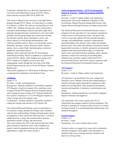Corequisite: Attached lab every other day; registration for University in the High School courses at SUNY Albany; tuition and fees for both APHY105 & APHY106

This course is offered by the University in the High School program through SUNY Albany. It is equivalent to a college level Physics I (APHY 105) with an associated Physics I Lab (APHY 106). Students who take this course will develop a conceptual understanding of physics principles, apply these principles through laboratory experiments to solve real-world problems, perform group design and construction activities that illustrate specific physics principles in action, and observe physics at work through demonstrations, data collection and data analysis. Topics covered include vectors, kinematics, dynamics, statics, harmonic motion, circular motion, waves, sound, fluids, thermodynamics, electricity, magnetism, and modern physics.

Students will be required to take the NY State Regents Exam/Physical Setting: Physics in addition to a separate final exam for SUNY Albany credit. Students may register with SUNY Albany to be eligible to receive up to four undergraduate credits through the University in the High School Program and may also sit for the AP Physics (Algebra Based) exam.

\*Successful completion of 1,200 minutes of laboratory time is a requirement for admittance to the Regents Exam

#### **AP Biology**

Grades 11-12

40 weeks, 1 Credit, Lab Requirement

Prerequisites: Students should have successfully completed NYS Regents Living Environment with a minimum course average of 90 and NYS Regents Physical Setting/Chemistry with a minimum course average of 85. Students should also have earned a minimum of a 75 in NYS Regents Algebra as a course average and on the regents exam.

Co-Requisites: Students should be concurrently enrolled in college pre-calculus and calculus or AP Calculus AB

The Advanced Placement Biology course is equivalent to a two-semester college introductory biology course. Students cultivate their understanding of biology through inquiry-based investigations as they explore the following topics: evolution, cellular processes, energy and communication, genetics, information transfer, ecology, and interactions.

This course requires that 25% of the instructional time will be spent in hands-on laboratory work, with an emphasis on inquiry- based investigations that provide students with opportunities to apply the science practices.

#### **AP Environmental Science / SUNY Environmental Science & Forestry - Global Environment (EFB120)** Grades 11-12

40 weeks, 1 credit (3 college credits), Lab requirement Prerequisites: Successful completion of Regents Living Environment, Regents Physical Setting/Earth Science, and Regents Physical Setting/Chemistry (or taking concurrently)

The Advanced Placement Environmental Science course is designed to be the equivalent of a one-semester, introductory college course in environmental science. The goal of this course is to provide students with the scientific principles, concepts, and methodologies required to understand the interrelationships of the natural world, explore the linkages between local, rural, urban and suburban communities and the larger global ecosystem, to identify and analyze environmental problems both natural and human-made, to evaluate the relative risks associated with these problems, and to examine alternative solutions for resolving or preventing them. \*Students may earn three college credits from SUNY Environmental Science and Forestry and are required to take the Advanced Placement Environmental Science exam

#### **AP Chemistry**

Grades 11-12

40 weeks, 1 credit (3 college credits), Lab requirement

AP Chemistry is an introductory first year, college-level chemistry course. Students cultivate their understanding of chemistry through inquiry-based lab investigations as they explore the four Big Ideas: scale, proportion and quantity, structure and properties of substances, transformations and energy.

Prerequisites: Students should have successfully completed Regents Chemistry and Algebra II.

Lab requirement: This course requires that 25% of instructional time engages students in lab investigations. This includes a minimum of 16 hands-on labs (at least six of which are inquiry-based). It is recommended that students keep a lab notebook throughout.

#### **Forensic Science**

Grades 11-12 40 weeks, 1 credit Prerequisites: Two years of high school science

Forensic science is an upper-level course rich in exploration and lab investigation which applies many disciplines of scientific study such as biology/anatomy, chemistry, and physics to solving crimes.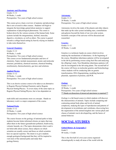#### **Anatomy and Physiology**

Grades 11-12 40 Weeks, 1 credit Prerequisites: Two years of high school science

This course gives a basic overview of anatomy and physiology that is not covered in other courses. Students will begin to integrate the knowledge gained about anatomy to support explanations of physiological phenomena. The course is broken down by the various systems of the human body. Some systems include the integumentary, skeletal, muscular, digestive, circulatory, as well as others. The course is geared towards a college based setting by heavily relying on students to take notes themselves.

#### **General Chemistry**

Grades 11-12 40 Weeks, 1 credit Prerequisites: Two years of high school science This course covers fundamental principles and laws of chemistry, Topics include measurement, atomic and molecular structure, periodicity, chemical reactions, chemical bonding, stoichiometry, thermochemistry, gas laws and solutions.

#### **Applied Physics**

Grades 11-12 20 Weeks, ½ credit Prerequisites: Two years of high school science

This is an elective science course to be taken as an alternative to Regents Physical Setting/Chemistry and/or Regents Physical Setting/Physics. It covers many of the same topics as Regents Physical Setting/Physics, but is less dependent on

math skills and concentrates more on concepts. Hands-on laboratory work is a major component of the course.

#### **National Parks**

Grades 11-12 20 Weeks, ½ credit Prerequisites: Two years of high school science

The course focuses on the geology of national parks to help students become better-informed citizens on topics that may affect them in the future (groundwater pollution, biodiversity, volcanic hazards, etc.) The topics demonstrate what is and is not believable about science, those subjects on which scientists are usually correct and those on which scientists have no special expertise. The intent is to give students enough geological background that they will be inspired to visit more of the national parks and study their geology/history.

#### **Astronomy**

Grades 11-12 20 Weeks, ½ credit Prerequisites: Two years of high school science

Astronomy involves the study of the planets and other objects that make up the solar system including stars, constellations and galaxies beyond the limits of our own solar system. Scientific concepts of the universe will be discussed and researched.

#### **Genetics**

Grades 11-12 20 Weeks, ½ credit

Genetics is a technical, hands-on course which involves studying the mechanisms of inheritance. At the beginning of the course, Mendelian inheritance patterns will be investigated in the lab by performing crosses using fruit flies and analyzing the offspring's traits. Non-Mendelian inheritance patterns will also be investigated in the lab using plants. The second half of the course will focus on molecular genetics and biotechnology where students will be conducting labs on genetic transformation, DNA fingerprinting, modeling bacterial plasmids, separation of proteins, and PCR.

#### **Zoology**

Grades 11-12 20 Weeks, ½ credit Prerequisites: Two years of high school science \*\* Hands on dissection of preserved specimens is required.\*\*

Zoology is a lab based course in which students will discover the characteristics of animals. Topics include comparing and contrasting animal body plans and levels of animal complexity, studying the types of reproduction and patterns of development in invertebrates and vertebrates, discovering how the organization of the animal kingdom into various phyla and classes of animals was/is developed/ing, and the basics of animal behavior.

## **SOCIAL STUDIES**

#### **Global History & Geography I**

Grade 9 40 weeks, 1 Credit

This is the first half of a two-year course organized chronologically to study all areas of the world with the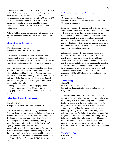exception of the United States. This course covers a variety of units including the development of cultures from prehistoric times, the Ancient World (4000 B.C.E. to 500 C.E.); expanding zones of exchange and encounter (500 C.E. to 1200 C.E.); and global interactions (1200 C.E. to 1750 C.E.). During this course there will be a special focus on the acquisition of a more sophisticated level of reading and writing skills.

\* The Global History and Geography Regents examination is not given until the end of second year of this course - Grade 10

#### **Global History & Geography II**

Grade 10 40 weeks (full year) 1 Credit Prerequisite: Global History and Geography I

This is the second half of a two-year course organized chronologically to study all areas of the world with the exception of the United States. This course continues with the study of the world throughout the 19th and 20th centuries.

This course of study includes examination of the nine themes of social studies: Continuity and Change, Geography and History, Political and Social Systems, Religious and Value Systems, Economics and Technology, Diversity, Impact of the Individual, Global Interaction, Art and Literature. Special focus is on the acquisition of a more sophisticated level of reading and writing skills.

\*The Regents Global History and Geography examination, which covers the content of both Global History and Geography 1 and 2, will be administered at the end of this course.

#### **United States History & Government**

Grade 11 40 weeks, 1 Credit Prerequisites: Global History & Geography I & II

This is a survey history course covering the birth of Colonial American through the era of modern globalization. The course will focus on constitutional issues that have challenged the developing nation, such as due process rights, the authority of the federal government, the power of the presidency, nationalism, sectionalism, civil war, civil rights, women's rights, government control over the economy, interdependence, globalization and terrorism. The course is based on critically reading and comprehending historical documents in order to analyze the impacts of historic events and government policies on the direction of the nation, all of which are critical skills for passing the NYS Regents exam in June.

#### **Participation in Government/Economics** Grade 12

40 weeks, 1 Credit (Required) Prerequisites: Regents United States History, Government and Geography examination

In this class students will study and analyze the importance of federal and local government as well as public policy. Students will analyze parties and their platforms; comparing and contrasting their different viewpoints. Students will also be required to complete 15 hours of mandatory community service hours and attend three meetings, two town or village and one school board. These hours and meetings will need to be documented. This requirement will be fulfilled over the course of government and economics.

Additionally, students will study the basic principles of economics as well as the three main types of economies; specifically how capitalism impacts the United States. Students will also analyze how the government influences a society's economy. Students will also be required to complete 15 hours of mandatory community service hours and attend three meetings, two town or village and one school board. These hours and meetings will need to be documented. This requirement will be fulfilled over the course of government and economics.

#### **AP Psychology**

Grades 11 - 12 40 weeks, 1 credit - Weight 1.1% Prerequisites: Junior or Senior status; completed summer assignments

This Advanced Placement class is designed to introduce students to the systematic and scientific study of the behavior and mental processes of human beings and other animals. Students are exposed to the psychological facts, principles, and phenomena associated with each of the major subfields within psychology. They also learn about the ethics and methods psychologists use in their science and practice Advanced Placement Psychology is a challenging course that is equivalent to an introductory college course in psychology. Solid reading and writing skills, along with a willingness to devote considerable time to homework and study, are necessary to succeed. Students are expected to take the associated College Board Advanced Placement examination in May.

#### **The World at War**

Grades 11-12 40 weeks, 1 Credit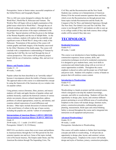Prerequisites: Junior or Senior status; successful completion of the Global History and Geography Regents

This is a full year course designed to enhance the study of World War I, World War II, Holocaust and Vietnam. The World at War will begin with an in-depth examination of the global issues which led to World War I. Through the use of textbook readings and videos, students will gain insight into the perspectives and actions of the major combatants in the Great War. Special attention will then be given to the failings of the Weimar Republic and the rise of Adolph Hitler. As the course continues, students will explore the inevitability and significant events of World War II along with a study of the Holocaust. Presentation of this portion of the course will contain graphic and frank imagery of the brutality uncovered by the Allies' liberation of the death camps. The course will conclude with a comprehensive understanding of Vietnam by exploring the Cold War, the war itself through the lens of various perspectives. This course will be primarily project based with the use of instruction, readings, film, and survivor stories.

#### **History and Popular Culture**

Grades 11 - 12 40 weeks, 1 credit

Popular culture has been described as an "unwieldy subject" because it encompasses almost the totality of human existence. The approach taken in this course is to understand this concept by using the framework of the American city as a window into our popular culture.

Using primary sources (literature, films, pictures, and music) students will study and apply theories of popular culture and aesthetic hierarchy; explicate the historical contexts of various artistic movements; discuss cultural imperialism; address problems of cultural appropriation, creativity, and identity; and examine cultural expressions of social differences and deviance. Other topics include discussion of selected studies in the social history of culture in the age of mass society, including the popular arts, and the "culture of consumption."

#### **Interpretations of American History I (HVCC HIST110) Interpretations of American History II (HVCC HIST111)** Grade 12

20-40 weeks, 1/2 - 1 credit (3-6 HVCC credits) Prerequisite: Global 9, 10, US History

HIST110 is an elective course that covers issues and problems in American history through the Civil War period for the first semester (quarter one and two). Some of the topics include Life in Provincial America, The Empire under Strain, and The American Revolution through The Impending Crisis, The

Civil War, and the Reconstruction and the New South. Students may continue on to Interpretations of American History II for the second semester (quarters three and four), which covers the Reconstruction era through present time. Some topics include Reconstruction and the South, the Conquest of the Far West, and Industrial Supremacy through The New Deal, The Global Crisis and The Cold War. This course is run through HVCC and students are able to earn up to six college credits (if they take both courses; three college credits will be earned if they take one).

## **TECHNOLOGY**

#### **Residential Structures**

Grades 9-12 40 weeks, 1 credit

This course is an introduction to basic building materials, construction sequences, house systems, skills, and construction techniques involved in residential construction. It is designed to give students basic, entry level skills in construction and related trades along with an overview of career opportunities available. Throughout the course emphasis is placed on safety and the proper use of both hand and power tools. Students will complete a variety of hands-on projects that will reinforce course content.

#### **Introduction to Woodworking**

Grades 9-12 40 weeks, 1 credit

Woodworking is a hands-on project and lab-centered course, which is designed to develop the student's knowledge, concepts, and skills in woodworking. Students will have the opportunity to design, plan, layout, and construct different projects pertaining to several different areas of woodworking. Emphasis in the course will include design, furniture styles, joinery, construction principles, craftsmanship, project planning, measurement, finish types and critical thinking. Safety is stressed throughout the course and is integrated into instruction on all equipment and processes.

#### **Advanced Woodworking I**

Grades 10-12 40 weeks, 1 credit Prerequisites: Introduction to Woodworking

This course will enable students to further their knowledge, concepts and skills in woodworking. It will provide an opportunity to design, plan, layout, and construct various woodworking pieces. Emphasis in the course will include, design and styles of furniture, joinery, construction principles,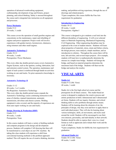operation of advanced woodworking equipment, craftsmanship, development of jigs and fixtures, project planning, and critical thinking. Safety is stressed throughout the course and is integrated into instruction on all equipment and processes.

#### **Power Mechanics**

Grades 9-12 20 weeks, ½ credit

This course covers the operation of small gasoline engines and concentrates on the maintenance, repair and rebuilding of engines and power equipment. Project work will involve experiences with garden tractors, lawnmowers, chainsaws, string trimmers and other small engines.

#### **Automotive Technology I**

Grades 10-12 40 weeks, 1 credit Prerequisites: Power Mechanics

This every other day double-period course covers Automotive Engine Systems, such as the ignition, cooling, lubrication, fuel and emission control system. The operation, maintenance and repair of each system is reinforced through hands-on activities working on cars and trucks. No prior automotive knowledge is necessary.

#### **Automotive Technology II**

Grades 11-12 40 weeks, 1 or 2 credits Pre-Requisites: Automotive Technology This every other day double period course expands the Automotive Technology course continuing instruction in the areas of clutches, manual transmission, automatic transmission, drivelines and chassis systems. Welding equipment is also covered, and the majority of experiences are from auto repair working on cars and trucks.

#### **Design, Drawing & Production (DDP)**

Grades 9-12 40 weeks, 1 credit Prerequisites: None

In this course students will learn a variety of drafting methods and computer programs in the design and development process. Students will complete CAD drawing that then will be transformed to a real object on our CNC machine. By taking this class students will experience a shift from conventional learning methods to this problem-approach method. This will require the use of creative thinking, decision making, and problem-solving experience, through the use of drawings and related projects. \*Upon completion, this course fulfills the Fine Arts requirement for graduation

#### **Introduction to Engineering**

Grades 10-12 40 weeks, 1 credit Prerequisites: Algebra I

This course is designed to give students a real look into the different disciplines of engineering. It will cover selected topics in Materials Engineering, Mechanical Engineering, Civil Engineering. Other engineering disciplines may be explored in the event of student interest. Students will learn about properties of materials, stress, strain and failure criteria, the design process, truss analysis, simple machines, and an introduction to robotics. Throughout the course there will be tests, lab activities, and several major projects. (For example, students will learn how to mathematically determine the stresses in a simple truss bridge. Students will design the bridge, and based on material properties determine the maximum load of the bridge. Students will then test the bridge and analyze the results).

## **VISUALARTS**

#### **Studio Art**

Grades 9-12 (Mr. Viera) 40 weeks, 1 credit

Studio Art is the first high school art course and the prerequisite for all future courses. This studio-based art course is designed to emphasize the creative process and artistic production in both 2-dimensional and 3-dimensional art forms. Students will use inquiry, literature, and critical thinking skills to solve problems through artistic means. Students will be learning about the elements of art, the principles of design, why they exist and how to apply them to each individual project. They will also be learning about various techniques, skills, art movements, and styles used around the world. Students will be encouraged to use their own interests, personality, and individuality in their artwork. Students should be able to express their voice in a visual format as well as appreciate and evaluate their work and the work of others.

\*Upon completion, Studio Art fulfills the Arts requirement for graduation

#### **Advanced Studio Art**

Grades 10-12 (Mr. Viera) 40 weeks, 1 credit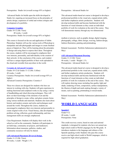Prerequisites: Studio Art (overall average 85% or higher)

Advanced Studio Art builds upon the skills developed in Studio Art, requiring an increased focus on the principles of artistic design, expansion of verbal and written critiques and development of a portfolio.

#### **Computer Graphics**

Grades 10-12 (Mr. Viera) 40 weeks, 1 credit Prerequisites: Studio Art (overall average 85% or higher)

This course is focused on the use and application of Adobe Photoshop. Students will use the various tools of Photoshop to manipulate and edit photographs and images to create finished pieces of digital art. They will be learning about the principles of design and using them to express their ideas. Throughout the course, students will be encouraged to emphasize their own interests, personality, and individuality in the creation of their artwork. At the conclusion of the course, each student will have a unique digital portfolio of their work uploaded to the cloud and viewable from anywhere in the world.

#### **Ceramics & Advanced Ceramics**

Grades 10-12 & Grades 11-12 (Ms. Collins) 40 weeks, 1 credit Ceramics Prerequisites: Studio Art (overall average 85% or higher)

Advanced Ceramics Prerequisites: Ceramics I

These two classes are designed for students who have an interest in working with clay. Students will gain experience in making functional and sculptural works in clay using a variety of handbuilding and wheel-throwing techniques. They will draw on their knowledge of the elements of art and the principles of design to create, refine, and glaze ceramic forms using various methods and materials. Students also learn about historic and modern ceramic and styles and techniques used around the world. Throughout the course, students are encouraged to emphasize their own interests and personality to create original works of art. Visual literacy, idea development, problem solving, reflection, good craftsmanship, and time management skills are strongly emphasized.

Class Requirement: Students will display their work in the school as well as the community. Students will participate in art field trips, community art projects, and fundraisers. Information about museums, galleries, studios, and community resources will also be shared.

#### **(AP) Advanced Placement 2D Art & Design**

Grades 11-12 (Mr. Viera) 40 weeks, 1 credit - Weight 1.1% Prerequisites: Advanced Studio Art

This advanced studio-based art course is designed to develop a professional portfolio in the visual arts, expand artistic skills, and further emphasize artistic production. Students will develop technical skills and become familiarized with the functions of visual elements as they create an individual portfolio of work for evaluation at the end of the course. They will demonstrate mastery through any two-dimensional

medium or process, such as graphic design, digital imaging, photography, collage, fabric design, weaving, fashion design, fashion illustration, painting and printmaking.

Related Assessment: Portfolio Submission (administered in May)

#### **(AP) Advanced Placement Drawing**

Grades 11-12 (Mr. Viera) 40 weeks, 1 credit - Weight 1.1% Prerequisites: Advanced Studio Art

This advanced studio-based art course is designed to develop a professional portfolio in the visual arts, expand artistic skills, and further emphasize artistic production. Students will develop technical skills and become familiarized with the functions of visual elements as they create an individual portfolio of work for evaluation at the end of the course. They will explore drawing issues including line quality, light and shade, rendering of form, composition, surface manipulation, the illusion of depth and mark-making through a variety of means, such as painting, printmaking or mixed media.

Related Assessment: Portfolio Submission (administered in May)

## **WORLD LANGUAGES**

#### **Spanish I**

Grade 9-12 40 weeks, 1 credit Prerequisites: None

This credit recovery course, based on state and national standards, is designed for students who have not earned one high school credit in World Languages by the 9th grade. It introduces students to the language and cultures of the Spanish-speaking world. Students who pass this course receive one high school credit in World Languages, which is required for high school graduation.